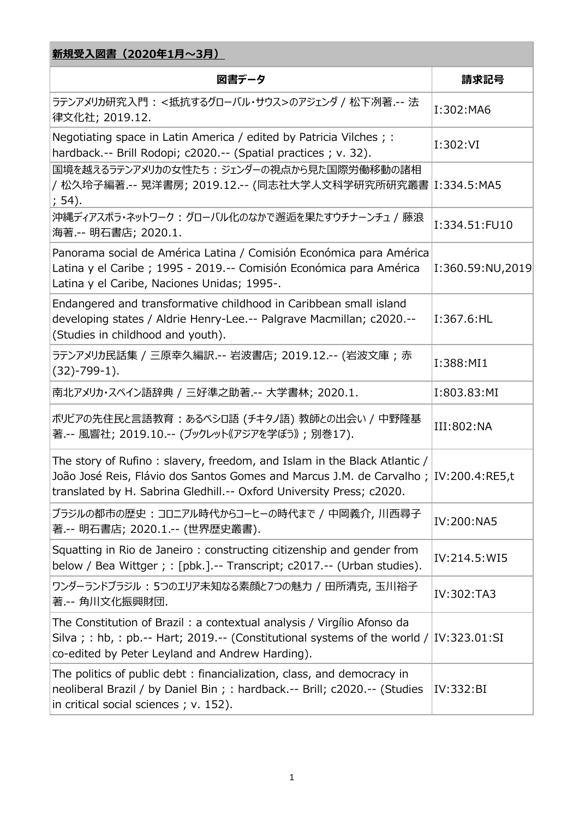| 新規受入図書(2020年1月~3月)                                                                                                                                                                                                                       |                  |  |
|------------------------------------------------------------------------------------------------------------------------------------------------------------------------------------------------------------------------------------------|------------------|--|
| 図書データ                                                                                                                                                                                                                                    | 請求記号             |  |
| ラテンアメリカ研究入門 : <抵抗するグローバル・サウス>のアジェンダ / 松下冽著 -- 法<br>律文化社; 2019.12.                                                                                                                                                                        | I:302:MA6        |  |
| Negotiating space in Latin America / edited by Patricia Vilches ; :<br>hardback.-- Brill Rodopi; c2020.-- (Spatial practices ; v. 32).                                                                                                   | I:302:VI         |  |
| 国境を越えるラテンアメリカの女性たち : ジェンダーの視点から見た国際労働移動の諸相<br>/ 松久玲子編著.-- 晃洋書房; 2019.12.-- (同志社大学人文科学研究所研究叢書 I:334.5:MA5<br>; 54).                                                                                                                       |                  |  |
| 沖縄ディアスポラ・ネットワーク: グローバル化のなかで邂逅を果たすウチナーンチュ / 藤浪<br>海著.-- 明石書店; 2020.1.                                                                                                                                                                     | I:334.51:FU10    |  |
| Panorama social de América Latina / Comisión Económica para América<br>Latina y el Caribe ; 1995 - 2019.-- Comisión Económica para América<br>Latina y el Caribe, Naciones Unidas; 1995-.                                                | I:360.59:NU,2019 |  |
| Endangered and transformative childhood in Caribbean small island<br>developing states / Aldrie Henry-Lee.-- Palgrave Macmillan; c2020.--<br>(Studies in childhood and youth).                                                           | I:367.6:HL       |  |
| ラテンアメリカ民話集 / 三原幸久編訳.-- 岩波書店; 2019.12.-- (岩波文庫 ; 赤<br>$(32)-799-1$ ).                                                                                                                                                                     | I:388:MI1        |  |
| 南北アメリカ・スペイン語辞典 / 三好準之助著 -- 大学書林; 2020.1.                                                                                                                                                                                                 | I:803.83:MI      |  |
| ボリビアの先住民と言語教育:あるベシロ語 (チキタノ語)教師との出会い / 中野隆基<br>著 -- 風響社; 2019.10.-- (ブックレット《アジアを学ぼう》; 別巻17).                                                                                                                                              | III:802:NA       |  |
| The story of Rufino: slavery, freedom, and Islam in the Black Atlantic /<br>João José Reis, Flávio dos Santos Gomes and Marcus J.M. de Carvalho ; IV:200.4:RE5,t<br>translated by H. Sabrina Gledhill.-- Oxford University Press; c2020. |                  |  |
| ブラジルの都市の歴史 : コロニアル時代からコーヒーの時代まで / 中岡義介, 川西尋子<br>著.-- 明石書店; 2020.1.-- (世界歴史叢書).                                                                                                                                                           | IV:200:NA5       |  |
| Squatting in Rio de Janeiro: constructing citizenship and gender from<br>below / Bea Wittger ; : [pbk.].-- Transcript; c2017.-- (Urban studies).                                                                                         | IV:214.5: WI5    |  |
| ワンダーランドブラジル : 5つのエリア未知なる素顔と7つの魅力 / 田所清克, 玉川裕子<br>著 -- 角川文化振興財団.                                                                                                                                                                          | IV:302:TA3       |  |
| The Constitution of Brazil: a contextual analysis / Virgílio Afonso da<br>Silva; : hb, : pb.-- Hart; 2019.-- (Constitutional systems of the world / IV:323.01:SI<br>co-edited by Peter Leyland and Andrew Harding).                      |                  |  |
| The politics of public debt: financialization, class, and democracy in<br>neoliberal Brazil / by Daniel Bin ; : hardback.-- Brill; c2020.-- (Studies<br>in critical social sciences; v. 152).                                            | IV:332:BI        |  |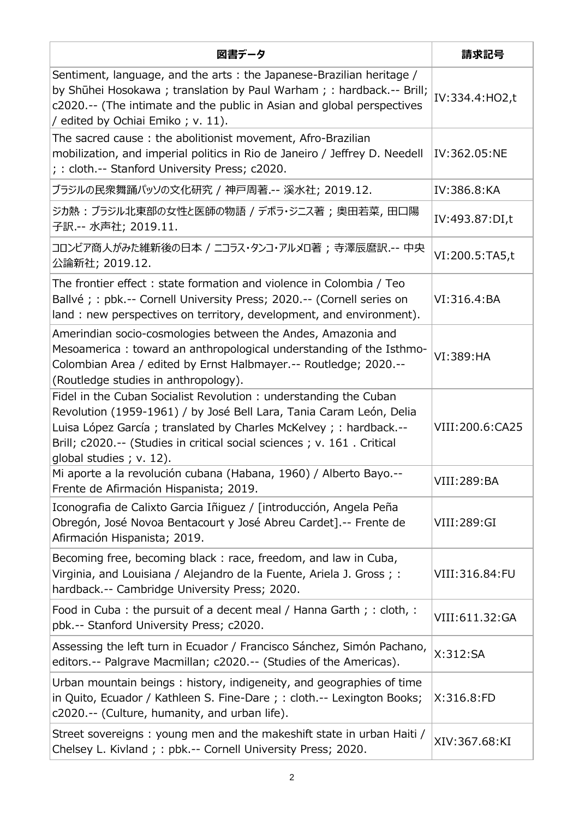| 図書データ                                                                                                                                                                                                                                                                                                              | 請求記号            |
|--------------------------------------------------------------------------------------------------------------------------------------------------------------------------------------------------------------------------------------------------------------------------------------------------------------------|-----------------|
| Sentiment, language, and the arts: the Japanese-Brazilian heritage /<br>by Shūhei Hosokawa; translation by Paul Warham; : hardback .-- Brill;<br>c2020.-- (The intimate and the public in Asian and global perspectives<br>/ edited by Ochiai Emiko; v. 11).                                                       | IV:334.4:HO2,t  |
| The sacred cause: the abolitionist movement, Afro-Brazilian<br>mobilization, and imperial politics in Rio de Janeiro / Jeffrey D. Needell<br>; : cloth.-- Stanford University Press; c2020.                                                                                                                        | IV:362.05:NE    |
| ブラジルの民衆舞踊パッソの文化研究 / 神戸周著.-- 溪水社; 2019.12.                                                                                                                                                                                                                                                                          | IV:386.8:KA     |
| ジカ熱 : ブラジル北東部の女性と医師の物語 / デボラ・ジニス著 ; 奥田若菜, 田口陽<br>子訳.-- 水声社; 2019.11.                                                                                                                                                                                                                                               | IV:493.87:DI,t  |
| コロンビア商人がみた維新後の日本 / ニコラス・タンコ・アルメロ著 ; 寺澤辰麿訳.-- 中央<br>公論新社; 2019.12.                                                                                                                                                                                                                                                  | VI:200.5:TA5,t  |
| The frontier effect: state formation and violence in Colombia / Teo<br>Ballvé ; : pbk.-- Cornell University Press; 2020.-- (Cornell series on<br>land: new perspectives on territory, development, and environment).                                                                                               | VI:316.4:BA     |
| Amerindian socio-cosmologies between the Andes, Amazonia and<br>Mesoamerica: toward an anthropological understanding of the Isthmo-<br>Colombian Area / edited by Ernst Halbmayer.-- Routledge; 2020.--<br>(Routledge studies in anthropology).                                                                    | VI:389: HA      |
| Fidel in the Cuban Socialist Revolution: understanding the Cuban<br>Revolution (1959-1961) / by José Bell Lara, Tania Caram León, Delia<br>Luisa López García; translated by Charles McKelvey; : hardback.--<br>Brill; c2020.-- (Studies in critical social sciences ; v. 161. Critical<br>global studies; v. 12). | VIII:200.6:CA25 |
| Mi aporte a la revolución cubana (Habana, 1960) / Alberto Bayo.--<br>Frente de Afirmación Hispanista; 2019.                                                                                                                                                                                                        | VIII: 289: BA   |
| Iconografia de Calixto Garcia Iñiguez / [introducción, Angela Peña<br>Obregón, José Novoa Bentacourt y José Abreu Cardet].-- Frente de<br>Afirmación Hispanista; 2019.                                                                                                                                             | VIII:289:GI     |
| Becoming free, becoming black: race, freedom, and law in Cuba,<br>Virginia, and Louisiana / Alejandro de la Fuente, Ariela J. Gross; :<br>hardback.-- Cambridge University Press; 2020.                                                                                                                            | VIII:316.84:FU  |
| Food in Cuba: the pursuit of a decent meal / Hanna Garth; : cloth, :<br>pbk.-- Stanford University Press; c2020.                                                                                                                                                                                                   | VIII:611.32:GA  |
| Assessing the left turn in Ecuador / Francisco Sánchez, Simón Pachano,<br>editors.-- Palgrave Macmillan; c2020.-- (Studies of the Americas).                                                                                                                                                                       | X:312:SA        |
| Urban mountain beings: history, indigeneity, and geographies of time<br>in Quito, Ecuador / Kathleen S. Fine-Dare ; : cloth.-- Lexington Books;<br>c2020.-- (Culture, humanity, and urban life).                                                                                                                   | X:316.8:FD      |
| Street sovereigns: young men and the makeshift state in urban Haiti /<br>Chelsey L. Kivland ; : pbk.-- Cornell University Press; 2020.                                                                                                                                                                             | XIV:367.68:KI   |